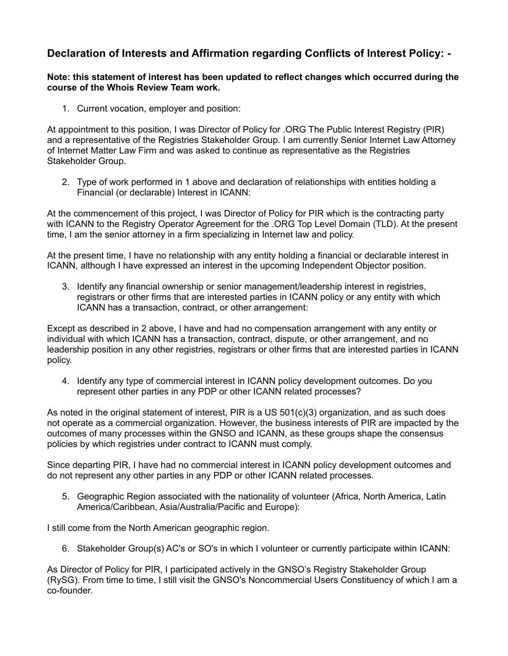## **Declaration of Interests and Affirmation regarding Conflicts of Interest Policy: -**

## **Note: this statement of interest has been updated to reflect changes which occurred during the course of the Whois Review Team work.**

1. Current vocation, employer and position:

At appointment to this position, I was Director of Policy for .ORG The Public Interest Registry (PIR) and a representative of the Registries Stakeholder Group. I am currently Senior Internet Law Attorney of Internet Matter Law Firm and was asked to continue as representative as the Registries Stakeholder Group.

2. Type of work performed in 1 above and declaration of relationships with entities holding a Financial (or declarable) Interest in ICANN:

At the commencement of this project, I was Director of Policy for PIR which is the contracting party with ICANN to the Registry Operator Agreement for the .ORG Top Level Domain (TLD). At the present time, I am the senior attorney in a firm specializing in Internet law and policy.

At the present time, I have no relationship with any entity holding a financial or declarable interest in ICANN, although I have expressed an interest in the upcoming Independent Objector position.

3. Identify any financial ownership or senior management/leadership interest in registries, registrars or other firms that are interested parties in ICANN policy or any entity with which ICANN has a transaction, contract, or other arrangement:

Except as described in 2 above, I have and had no compensation arrangement with any entity or individual with which ICANN has a transaction, contract, dispute, or other arrangement, and no leadership position in any other registries, registrars or other firms that are interested parties in ICANN policy.

4. Identify any type of commercial interest in ICANN policy development outcomes. Do you represent other parties in any PDP or other ICANN related processes?

As noted in the original statement of interest, PIR is a US 501(c)(3) organization, and as such does not operate as a commercial organization. However, the business interests of PIR are impacted by the outcomes of many processes within the GNSO and ICANN, as these groups shape the consensus policies by which registries under contract to ICANN must comply.

Since departing PIR, I have had no commercial interest in ICANN policy development outcomes and do not represent any other parties in any PDP or other ICANN related processes.

5. Geographic Region associated with the nationality of volunteer (Africa, North America, Latin America/Caribbean, Asia/Australia/Pacific and Europe):

I still come from the North American geographic region.

6. Stakeholder Group(s) AC's or SO's in which I volunteer or currently participate within ICANN:

As Director of Policy for PIR, I participated actively in the GNSO's Registry Stakeholder Group (RySG). From time to time, I still visit the GNSO's Noncommercial Users Constituency of which I am a co-founder.